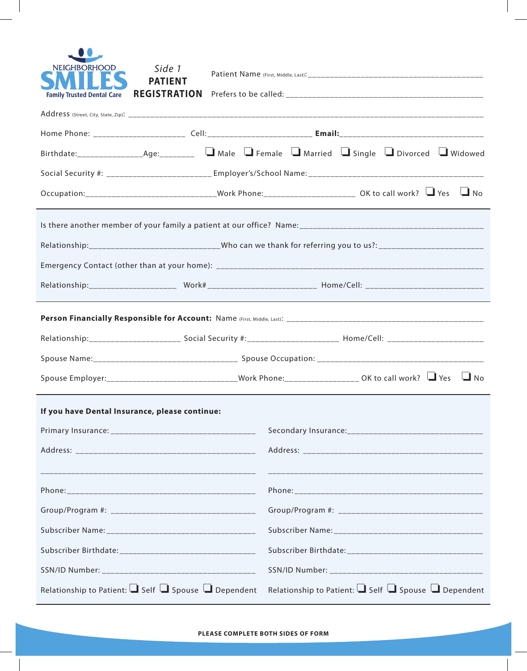| <b>NEIGHBORHOOD</b><br><b>Family Trusted Dental Care</b>            | Side 1<br><b>PATIENT</b><br><b>REGISTRATION</b>                                                                |  |                                                                     |  |           |
|---------------------------------------------------------------------|----------------------------------------------------------------------------------------------------------------|--|---------------------------------------------------------------------|--|-----------|
|                                                                     |                                                                                                                |  |                                                                     |  |           |
|                                                                     |                                                                                                                |  |                                                                     |  |           |
|                                                                     |                                                                                                                |  |                                                                     |  |           |
|                                                                     |                                                                                                                |  |                                                                     |  |           |
|                                                                     | Occupation:_________________________________Work Phone:_________________________ OK to call work? ↓▲ Yes ↓ No  |  |                                                                     |  |           |
|                                                                     |                                                                                                                |  |                                                                     |  |           |
|                                                                     | Relationship:_______________________________Who can we thank for referring you to us?: _______________________ |  |                                                                     |  |           |
|                                                                     |                                                                                                                |  |                                                                     |  |           |
|                                                                     |                                                                                                                |  |                                                                     |  |           |
|                                                                     |                                                                                                                |  |                                                                     |  |           |
|                                                                     |                                                                                                                |  |                                                                     |  |           |
|                                                                     |                                                                                                                |  |                                                                     |  |           |
|                                                                     | Spouse Employer:__________________________________Work Phone:___________________ OK to call work? ↓■ Yes       |  |                                                                     |  | $\Box$ No |
| If you have Dental Insurance, please continue:                      |                                                                                                                |  |                                                                     |  |           |
|                                                                     |                                                                                                                |  |                                                                     |  |           |
|                                                                     |                                                                                                                |  |                                                                     |  |           |
|                                                                     |                                                                                                                |  |                                                                     |  |           |
|                                                                     |                                                                                                                |  |                                                                     |  |           |
|                                                                     |                                                                                                                |  |                                                                     |  |           |
|                                                                     |                                                                                                                |  |                                                                     |  |           |
|                                                                     |                                                                                                                |  |                                                                     |  |           |
|                                                                     |                                                                                                                |  |                                                                     |  |           |
| Relationship to Patient: $\Box$ Self $\Box$ Spouse $\Box$ Dependent |                                                                                                                |  | Relationship to Patient: $\Box$ Self $\Box$ Spouse $\Box$ Dependent |  |           |